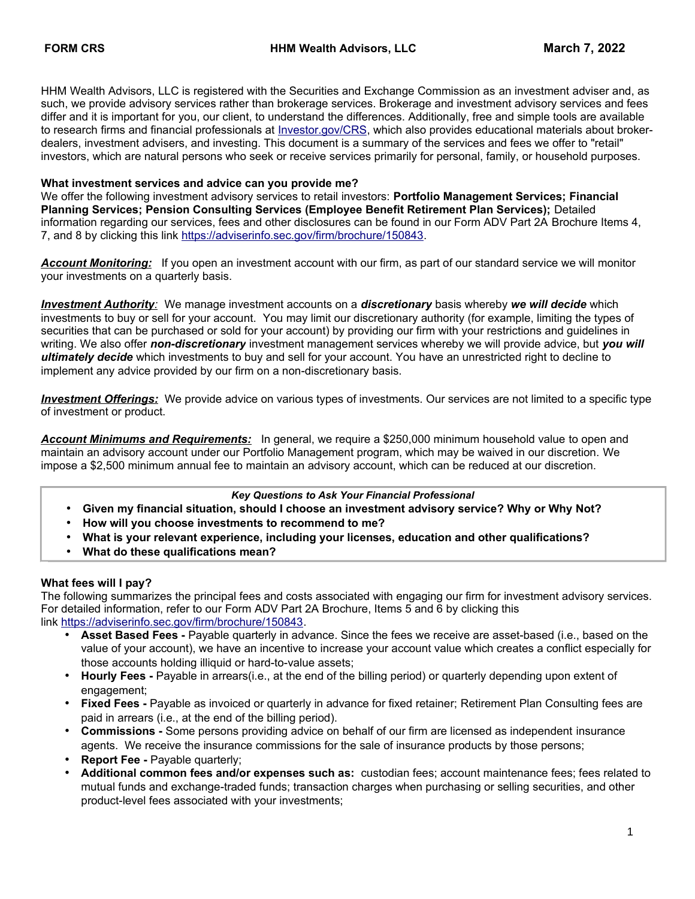HHM Wealth Advisors, LLC is registered with the Securities and Exchange Commission as an investment adviser and, as such, we provide advisory services rather than brokerage services. Brokerage and investment advisory services and fees differ and it is important for you, our client, to understand the differences. Additionally, free and simple tools are available to research firms and financial professionals at [Investor.gov/CRS,](http://www.Investor.gov/CRS) which also provides educational materials about brokerdealers, investment advisers, and investing. This document is a summary of the services and fees we offer to "retail" investors, which are natural persons who seek or receive services primarily for personal, family, or household purposes.

#### **What investment services and advice can you provide me?**

We offer the following investment advisory services to retail investors: **Portfolio Management Services; Financial Planning Services; Pension Consulting Services (Employee Benefit Retirement Plan Services);** Detailed information regarding our services, fees and other disclosures can be found in our Form ADV Part 2A Brochure Items 4, 7, and 8 by clicking this link [https://adviserinfo.sec.gov/firm/brochure/150843.](https://adviserinfo.sec.gov/firm/brochure/150843)

*Account Monitoring:* If you open an investment account with our firm, as part of our standard service we will monitor your investments on a quarterly basis.

 *Investment Authority:* We manage investment accounts on a *discretionary* basis whereby *we will decide* which investments to buy or sell for your account. You may limit our discretionary authority (for example, limiting the types of securities that can be purchased or sold for your account) by providing our firm with your restrictions and guidelines in writing. We also offer *non-discretionary* investment management services whereby we will provide advice, but *you will ultimately decide* which investments to buy and sell for your account. You have an unrestricted right to decline to implement any advice provided by our firm on a non-discretionary basis.

 *Investment Offerings:* We provide advice on various types of investments. Our services are not limited to a specific type of investment or product.

*Account Minimums and Requirements:* In general, we require a \$250,000 minimum household value to open and maintain an advisory account under our Portfolio Management program, which may be waived in our discretion. We impose a \$2,500 minimum annual fee to maintain an advisory account, which can be reduced at our discretion.

#### *Key Questions to Ask Your Financial Professional*

- **Given my financial situation, should I choose an investment advisory service? Why or Why Not?**
- **How will you choose investments to recommend to me?**
- **What is your relevant experience, including your licenses, education and other qualifications?**
- **What do these qualifications mean?**

#### **What fees will I pay?**

The following summarizes the principal fees and costs associated with engaging our firm for investment advisory services. For detailed information, refer to our Form ADV Part 2A Brochure, Items 5 and 6 by clicking this link [https://adviserinfo.sec.gov/firm/brochure/150843.](https://adviserinfo.sec.gov/firm/brochure/150843)

- **Asset Based Fees -** Payable quarterly in advance. Since the fees we receive are asset-based (i.e., based on the value of your account), we have an incentive to increase your account value which creates a conflict especially for those accounts holding illiquid or hard-to-value assets;
- **Hourly Fees -** Payable in arrears(i.e., at the end of the billing period) or quarterly depending upon extent of engagement;
- **Fixed Fees -** Payable as invoiced or quarterly in advance for fixed retainer; Retirement Plan Consulting fees are paid in arrears (i.e., at the end of the billing period).
- **Commissions** Some persons providing advice on behalf of our firm are licensed as independent insurance agents. We receive the insurance commissions for the sale of insurance products by those persons;
- **Report Fee Payable quarterly;**
- **Additional common fees and/or expenses such as:** custodian fees; account maintenance fees; fees related to mutual funds and exchange-traded funds; transaction charges when purchasing or selling securities, and other product-level fees associated with your investments;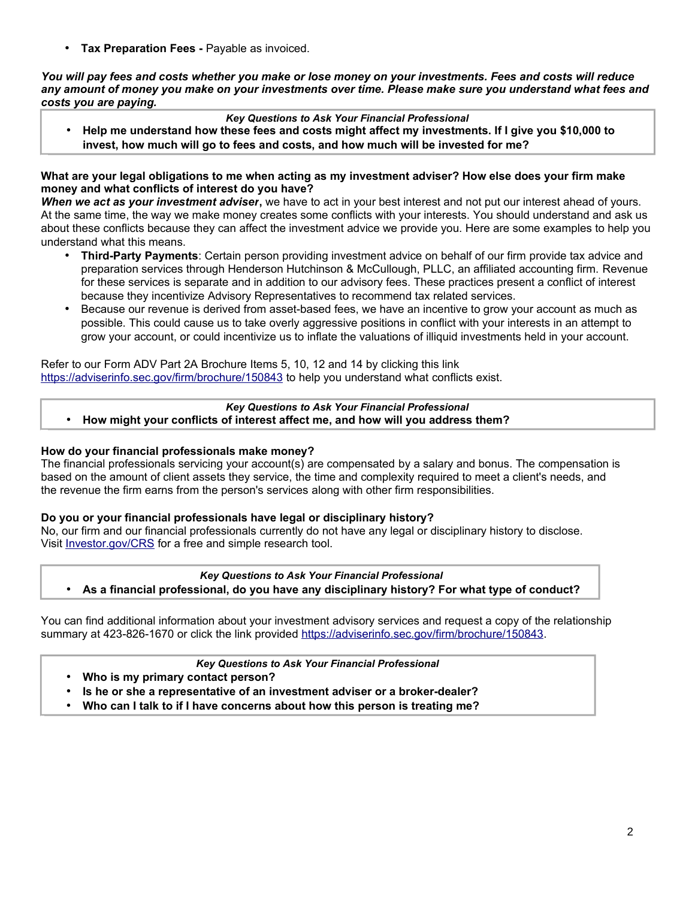• **Tax Preparation Fees -** Payable as invoiced.

*You will pay fees and costs whether you make or lose money on your investments. Fees and costs will reduce any amount of money you make on your investments over time. Please make sure you understand what fees and costs you are paying.*

### *Key Questions to Ask Your Financial Professional*

• **Help me understand how these fees and costs might affect my investments. If I give you \$10,000 to invest, how much will go to fees and costs, and how much will be invested for me?**

#### **What are your legal obligations to me when acting as my investment adviser? How else does your firm make money and what conflicts of interest do you have?**

*When we act as your investment adviser***,** we have to act in your best interest and not put our interest ahead of yours. At the same time, the way we make money creates some conflicts with your interests. You should understand and ask us about these conflicts because they can affect the investment advice we provide you. Here are some examples to help you understand what this means.

- **Third-Party Payments**: Certain person providing investment advice on behalf of our firm provide tax advice and preparation services through Henderson Hutchinson & McCullough, PLLC, an affiliated accounting firm. Revenue for these services is separate and in addition to our advisory fees. These practices present a conflict of interest because they incentivize Advisory Representatives to recommend tax related services.
- Because our revenue is derived from asset-based fees, we have an incentive to grow your account as much as possible. This could cause us to take overly aggressive positions in conflict with your interests in an attempt to grow your account, or could incentivize us to inflate the valuations of illiquid investments held in your account.

Refer to our Form ADV Part 2A Brochure Items 5, 10, 12 and 14 by clicking this link <https://adviserinfo.sec.gov/firm/brochure/150843> to help you understand what conflicts exist.

# *Key Questions to Ask Your Financial Professional*

• **How might your conflicts of interest affect me, and how will you address them?**

#### **How do your financial professionals make money?**

The financial professionals servicing your account(s) are compensated by a salary and bonus. The compensation is based on the amount of client assets they service, the time and complexity required to meet a client's needs, and the revenue the firm earns from the person's services along with other firm responsibilities.

#### **Do you or your financial professionals have legal or disciplinary history?**

No, our firm and our financial professionals currently do not have any legal or disciplinary history to disclose. Visit [Investor.gov/CRS](http://www.investor.gov/crs) for a free and simple research tool.

#### *Key Questions to Ask Your Financial Professional*

• **As a financial professional, do you have any disciplinary history? For what type of conduct?**

You can find additional information about your investment advisory services and request a copy of the relationship summary at 423-826-1670 or click the link provided [https://adviserinfo.sec.gov/firm/brochure/150843.](https://adviserinfo.sec.gov/firm/brochure/150843)

#### *Key Questions to Ask Your Financial Professional*

- **Who is my primary contact person?**
- **Is he or she a representative of an investment adviser or a broker-dealer?**
- **Who can I talk to if I have concerns about how this person is treating me?**